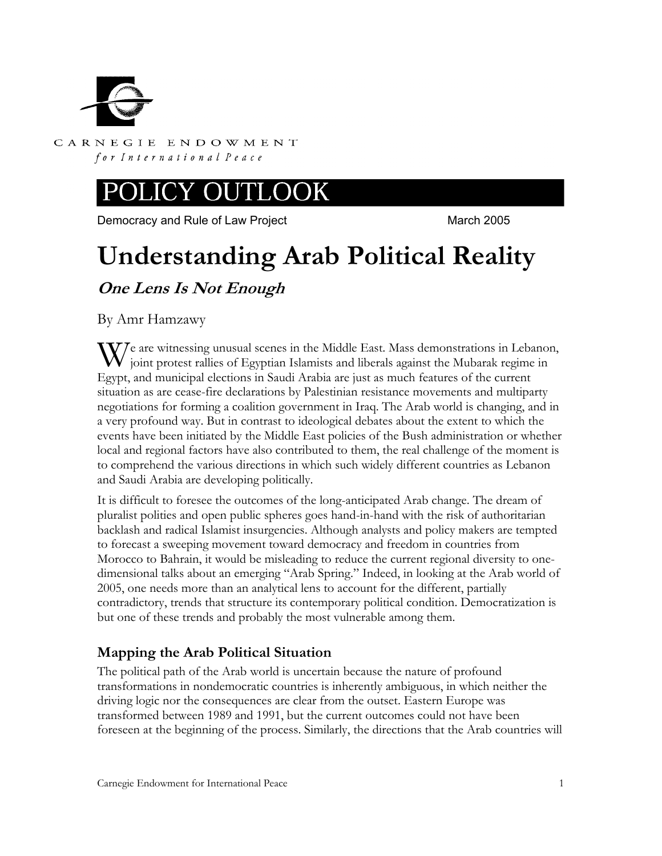

CARNEGIE ENDOWMENT for International Peace

# JCY OUTLOOK

Democracy and Rule of Law Project March 2005

# **Understanding Arab Political Reality**

**One Lens Is Not Enough** 

By Amr Hamzawy

We are witnessing unusual scenes in the Middle East. Mass demonstrations in Lebanon, joint protest rallies of Egyptian Islamists and liberals against the Mubarak regime in joint protest rallies of Egyptian Islamists and liberals against the Mubarak regime in Egypt, and municipal elections in Saudi Arabia are just as much features of the current situation as are cease-fire declarations by Palestinian resistance movements and multiparty negotiations for forming a coalition government in Iraq. The Arab world is changing, and in a very profound way. But in contrast to ideological debates about the extent to which the events have been initiated by the Middle East policies of the Bush administration or whether local and regional factors have also contributed to them, the real challenge of the moment is to comprehend the various directions in which such widely different countries as Lebanon and Saudi Arabia are developing politically.

It is difficult to foresee the outcomes of the long-anticipated Arab change. The dream of pluralist polities and open public spheres goes hand-in-hand with the risk of authoritarian backlash and radical Islamist insurgencies. Although analysts and policy makers are tempted to forecast a sweeping movement toward democracy and freedom in countries from Morocco to Bahrain, it would be misleading to reduce the current regional diversity to onedimensional talks about an emerging "Arab Spring." Indeed, in looking at the Arab world of 2005, one needs more than an analytical lens to account for the different, partially contradictory, trends that structure its contemporary political condition. Democratization is but one of these trends and probably the most vulnerable among them.

# **Mapping the Arab Political Situation**

The political path of the Arab world is uncertain because the nature of profound transformations in nondemocratic countries is inherently ambiguous, in which neither the driving logic nor the consequences are clear from the outset. Eastern Europe was transformed between 1989 and 1991, but the current outcomes could not have been foreseen at the beginning of the process. Similarly, the directions that the Arab countries will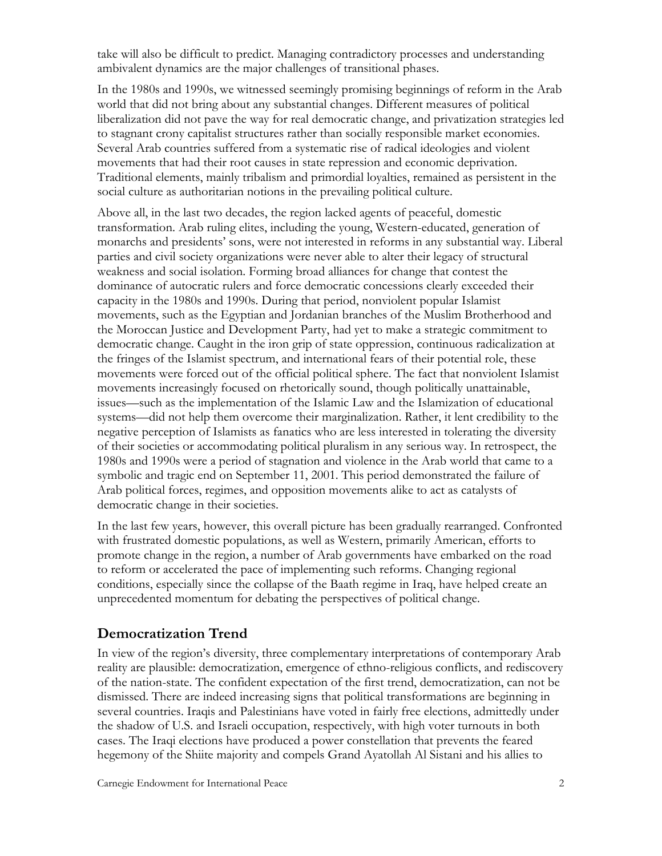take will also be difficult to predict. Managing contradictory processes and understanding ambivalent dynamics are the major challenges of transitional phases.

In the 1980s and 1990s, we witnessed seemingly promising beginnings of reform in the Arab world that did not bring about any substantial changes. Different measures of political liberalization did not pave the way for real democratic change, and privatization strategies led to stagnant crony capitalist structures rather than socially responsible market economies. Several Arab countries suffered from a systematic rise of radical ideologies and violent movements that had their root causes in state repression and economic deprivation. Traditional elements, mainly tribalism and primordial loyalties, remained as persistent in the social culture as authoritarian notions in the prevailing political culture.

Above all, in the last two decades, the region lacked agents of peaceful, domestic transformation. Arab ruling elites, including the young, Western-educated, generation of monarchs and presidents' sons, were not interested in reforms in any substantial way. Liberal parties and civil society organizations were never able to alter their legacy of structural weakness and social isolation. Forming broad alliances for change that contest the dominance of autocratic rulers and force democratic concessions clearly exceeded their capacity in the 1980s and 1990s. During that period, nonviolent popular Islamist movements, such as the Egyptian and Jordanian branches of the Muslim Brotherhood and the Moroccan Justice and Development Party, had yet to make a strategic commitment to democratic change. Caught in the iron grip of state oppression, continuous radicalization at the fringes of the Islamist spectrum, and international fears of their potential role, these movements were forced out of the official political sphere. The fact that nonviolent Islamist movements increasingly focused on rhetorically sound, though politically unattainable, issues—such as the implementation of the Islamic Law and the Islamization of educational systems—did not help them overcome their marginalization. Rather, it lent credibility to the negative perception of Islamists as fanatics who are less interested in tolerating the diversity of their societies or accommodating political pluralism in any serious way. In retrospect, the 1980s and 1990s were a period of stagnation and violence in the Arab world that came to a symbolic and tragic end on September 11, 2001. This period demonstrated the failure of Arab political forces, regimes, and opposition movements alike to act as catalysts of democratic change in their societies.

In the last few years, however, this overall picture has been gradually rearranged. Confronted with frustrated domestic populations, as well as Western, primarily American, efforts to promote change in the region, a number of Arab governments have embarked on the road to reform or accelerated the pace of implementing such reforms. Changing regional conditions, especially since the collapse of the Baath regime in Iraq, have helped create an unprecedented momentum for debating the perspectives of political change.

## **Democratization Trend**

In view of the region's diversity, three complementary interpretations of contemporary Arab reality are plausible: democratization, emergence of ethno-religious conflicts, and rediscovery of the nation-state. The confident expectation of the first trend, democratization, can not be dismissed. There are indeed increasing signs that political transformations are beginning in several countries. Iraqis and Palestinians have voted in fairly free elections, admittedly under the shadow of U.S. and Israeli occupation, respectively, with high voter turnouts in both cases. The Iraqi elections have produced a power constellation that prevents the feared hegemony of the Shiite majority and compels Grand Ayatollah Al Sistani and his allies to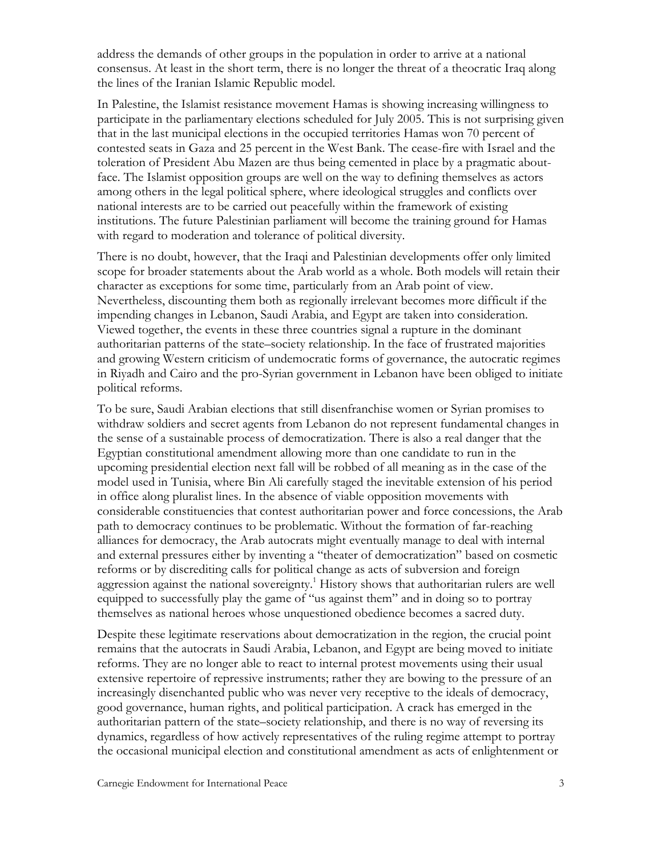address the demands of other groups in the population in order to arrive at a national consensus. At least in the short term, there is no longer the threat of a theocratic Iraq along the lines of the Iranian Islamic Republic model.

In Palestine, the Islamist resistance movement Hamas is showing increasing willingness to participate in the parliamentary elections scheduled for July 2005. This is not surprising given that in the last municipal elections in the occupied territories Hamas won 70 percent of contested seats in Gaza and 25 percent in the West Bank. The cease-fire with Israel and the toleration of President Abu Mazen are thus being cemented in place by a pragmatic aboutface. The Islamist opposition groups are well on the way to defining themselves as actors among others in the legal political sphere, where ideological struggles and conflicts over national interests are to be carried out peacefully within the framework of existing institutions. The future Palestinian parliament will become the training ground for Hamas with regard to moderation and tolerance of political diversity.

There is no doubt, however, that the Iraqi and Palestinian developments offer only limited scope for broader statements about the Arab world as a whole. Both models will retain their character as exceptions for some time, particularly from an Arab point of view. Nevertheless, discounting them both as regionally irrelevant becomes more difficult if the impending changes in Lebanon, Saudi Arabia, and Egypt are taken into consideration. Viewed together, the events in these three countries signal a rupture in the dominant authoritarian patterns of the state–society relationship. In the face of frustrated majorities and growing Western criticism of undemocratic forms of governance, the autocratic regimes in Riyadh and Cairo and the pro-Syrian government in Lebanon have been obliged to initiate political reforms.

To be sure, Saudi Arabian elections that still disenfranchise women or Syrian promises to withdraw soldiers and secret agents from Lebanon do not represent fundamental changes in the sense of a sustainable process of democratization. There is also a real danger that the Egyptian constitutional amendment allowing more than one candidate to run in the upcoming presidential election next fall will be robbed of all meaning as in the case of the model used in Tunisia, where Bin Ali carefully staged the inevitable extension of his period in office along pluralist lines. In the absence of viable opposition movements with considerable constituencies that contest authoritarian power and force concessions, the Arab path to democracy continues to be problematic. Without the formation of far-reaching alliances for democracy, the Arab autocrats might eventually manage to deal with internal and external pressures either by inventing a "theater of democratization" based on cosmetic reforms or by discrediting calls for political change as acts of subversion and foreign aggression against the national sovereignty.<sup>1</sup> History shows that authoritarian rulers are well equipped to successfully play the game of "us against them" and in doing so to portray themselves as national heroes whose unquestioned obedience becomes a sacred duty.

Despite these legitimate reservations about democratization in the region, the crucial point remains that the autocrats in Saudi Arabia, Lebanon, and Egypt are being moved to initiate reforms. They are no longer able to react to internal protest movements using their usual extensive repertoire of repressive instruments; rather they are bowing to the pressure of an increasingly disenchanted public who was never very receptive to the ideals of democracy, good governance, human rights, and political participation. A crack has emerged in the authoritarian pattern of the state–society relationship, and there is no way of reversing its dynamics, regardless of how actively representatives of the ruling regime attempt to portray the occasional municipal election and constitutional amendment as acts of enlightenment or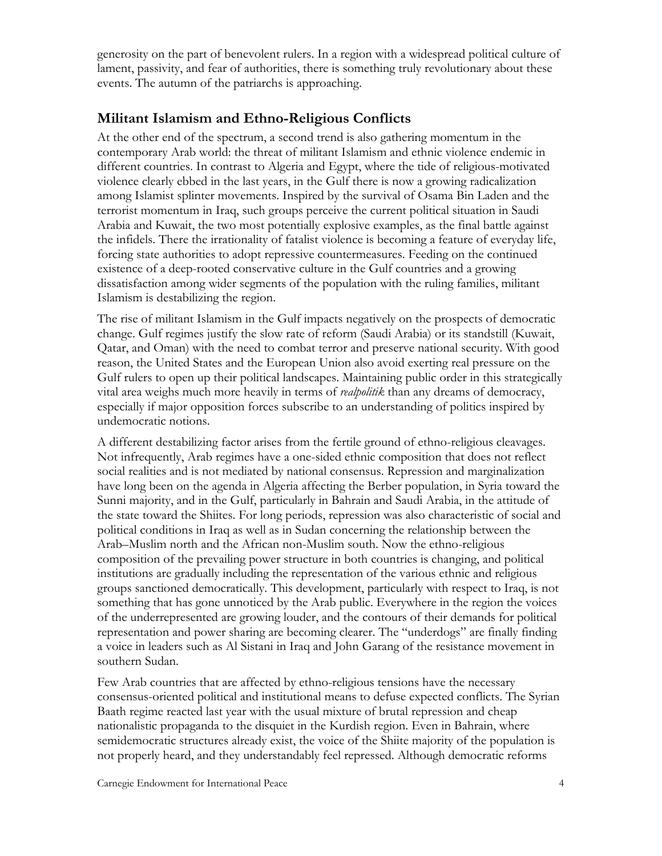generosity on the part of benevolent rulers. In a region with a widespread political culture of lament, passivity, and fear of authorities, there is something truly revolutionary about these events. The autumn of the patriarchs is approaching.

#### **Militant Islamism and Ethno-Religious Conflicts**

At the other end of the spectrum, a second trend is also gathering momentum in the contemporary Arab world: the threat of militant Islamism and ethnic violence endemic in different countries. In contrast to Algeria and Egypt, where the tide of religious-motivated violence clearly ebbed in the last years, in the Gulf there is now a growing radicalization among Islamist splinter movements. Inspired by the survival of Osama Bin Laden and the terrorist momentum in Iraq, such groups perceive the current political situation in Saudi Arabia and Kuwait, the two most potentially explosive examples, as the final battle against the infidels. There the irrationality of fatalist violence is becoming a feature of everyday life, forcing state authorities to adopt repressive countermeasures. Feeding on the continued existence of a deep-rooted conservative culture in the Gulf countries and a growing dissatisfaction among wider segments of the population with the ruling families, militant Islamism is destabilizing the region.

The rise of militant Islamism in the Gulf impacts negatively on the prospects of democratic change. Gulf regimes justify the slow rate of reform (Saudi Arabia) or its standstill (Kuwait, Qatar, and Oman) with the need to combat terror and preserve national security. With good reason, the United States and the European Union also avoid exerting real pressure on the Gulf rulers to open up their political landscapes. Maintaining public order in this strategically vital area weighs much more heavily in terms of *realpolitik* than any dreams of democracy, especially if major opposition forces subscribe to an understanding of politics inspired by undemocratic notions.

A different destabilizing factor arises from the fertile ground of ethno-religious cleavages. Not infrequently, Arab regimes have a one-sided ethnic composition that does not reflect social realities and is not mediated by national consensus. Repression and marginalization have long been on the agenda in Algeria affecting the Berber population, in Syria toward the Sunni majority, and in the Gulf, particularly in Bahrain and Saudi Arabia, in the attitude of the state toward the Shiites. For long periods, repression was also characteristic of social and political conditions in Iraq as well as in Sudan concerning the relationship between the Arab–Muslim north and the African non-Muslim south. Now the ethno-religious composition of the prevailing power structure in both countries is changing, and political institutions are gradually including the representation of the various ethnic and religious groups sanctioned democratically. This development, particularly with respect to Iraq, is not something that has gone unnoticed by the Arab public. Everywhere in the region the voices of the underrepresented are growing louder, and the contours of their demands for political representation and power sharing are becoming clearer. The "underdogs" are finally finding a voice in leaders such as Al Sistani in Iraq and John Garang of the resistance movement in southern Sudan.

Few Arab countries that are affected by ethno-religious tensions have the necessary consensus-oriented political and institutional means to defuse expected conflicts. The Syrian Baath regime reacted last year with the usual mixture of brutal repression and cheap nationalistic propaganda to the disquiet in the Kurdish region. Even in Bahrain, where semidemocratic structures already exist, the voice of the Shiite majority of the population is not properly heard, and they understandably feel repressed. Although democratic reforms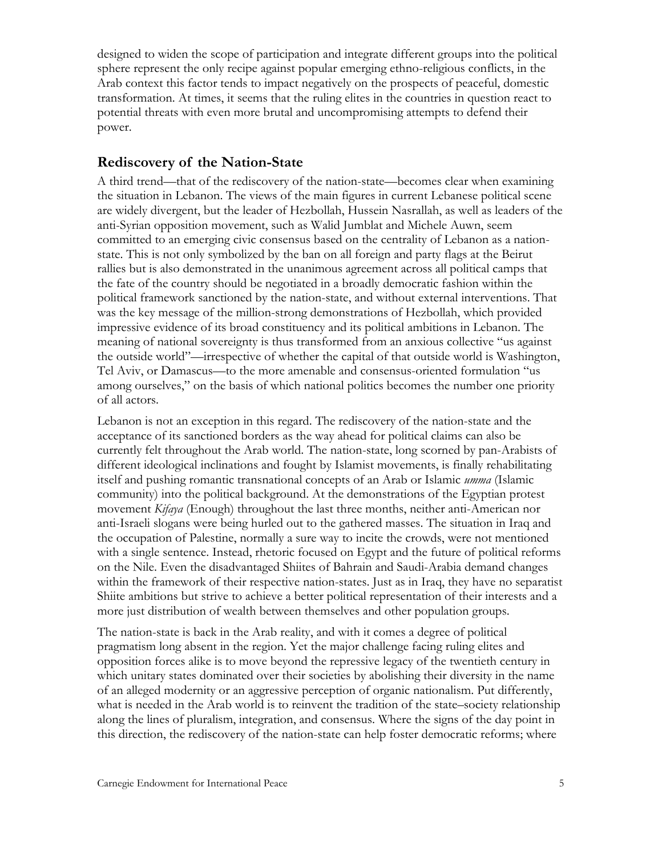designed to widen the scope of participation and integrate different groups into the political sphere represent the only recipe against popular emerging ethno-religious conflicts, in the Arab context this factor tends to impact negatively on the prospects of peaceful, domestic transformation. At times, it seems that the ruling elites in the countries in question react to potential threats with even more brutal and uncompromising attempts to defend their power.

#### **Rediscovery of the Nation-State**

A third trend—that of the rediscovery of the nation-state—becomes clear when examining the situation in Lebanon. The views of the main figures in current Lebanese political scene are widely divergent, but the leader of Hezbollah, Hussein Nasrallah, as well as leaders of the anti-Syrian opposition movement, such as Walid Jumblat and Michele Auwn, seem committed to an emerging civic consensus based on the centrality of Lebanon as a nationstate. This is not only symbolized by the ban on all foreign and party flags at the Beirut rallies but is also demonstrated in the unanimous agreement across all political camps that the fate of the country should be negotiated in a broadly democratic fashion within the political framework sanctioned by the nation-state, and without external interventions. That was the key message of the million-strong demonstrations of Hezbollah, which provided impressive evidence of its broad constituency and its political ambitions in Lebanon. The meaning of national sovereignty is thus transformed from an anxious collective "us against the outside world"—irrespective of whether the capital of that outside world is Washington, Tel Aviv, or Damascus—to the more amenable and consensus-oriented formulation "us among ourselves," on the basis of which national politics becomes the number one priority of all actors.

Lebanon is not an exception in this regard. The rediscovery of the nation-state and the acceptance of its sanctioned borders as the way ahead for political claims can also be currently felt throughout the Arab world. The nation-state, long scorned by pan-Arabists of different ideological inclinations and fought by Islamist movements, is finally rehabilitating itself and pushing romantic transnational concepts of an Arab or Islamic *umma* (Islamic community) into the political background. At the demonstrations of the Egyptian protest movement *Kifaya* (Enough) throughout the last three months, neither anti-American nor anti-Israeli slogans were being hurled out to the gathered masses. The situation in Iraq and the occupation of Palestine, normally a sure way to incite the crowds, were not mentioned with a single sentence. Instead, rhetoric focused on Egypt and the future of political reforms on the Nile. Even the disadvantaged Shiites of Bahrain and Saudi-Arabia demand changes within the framework of their respective nation-states. Just as in Iraq, they have no separatist Shiite ambitions but strive to achieve a better political representation of their interests and a more just distribution of wealth between themselves and other population groups.

The nation-state is back in the Arab reality, and with it comes a degree of political pragmatism long absent in the region. Yet the major challenge facing ruling elites and opposition forces alike is to move beyond the repressive legacy of the twentieth century in which unitary states dominated over their societies by abolishing their diversity in the name of an alleged modernity or an aggressive perception of organic nationalism. Put differently, what is needed in the Arab world is to reinvent the tradition of the state–society relationship along the lines of pluralism, integration, and consensus. Where the signs of the day point in this direction, the rediscovery of the nation-state can help foster democratic reforms; where